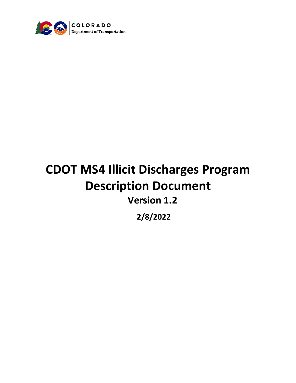

# **CDOT MS4 Illicit Discharges Program Description Document Version 1.2**

**2/8/2022**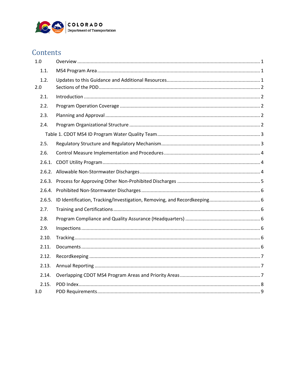

# Contents

| 1.0         |  |
|-------------|--|
| 1.1.        |  |
| 1.2.<br>2.0 |  |
| 2.1.        |  |
| 2.2.        |  |
| 2.3.        |  |
| 2.4.        |  |
|             |  |
| 2.5.        |  |
| 2.6.        |  |
| 2.6.1.      |  |
|             |  |
|             |  |
|             |  |
|             |  |
| 2.7.        |  |
| 2.8.        |  |
| 2.9.        |  |
| 2.10.       |  |
| 2.11.       |  |
| 2.12.       |  |
| 2.13.       |  |
| 2.14.       |  |
| 2.15.       |  |
| 3.0         |  |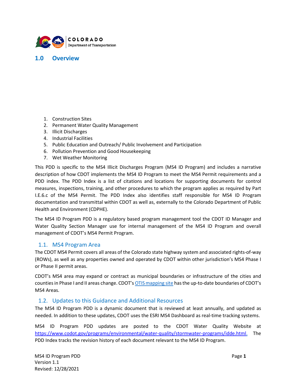

#### <span id="page-2-0"></span>**1.0 Overview**

- 1. Construction Sites
- 2. Permanent Water Quality Management
- 3. Illicit Discharges
- 4. Industrial Facilities
- 5. Public Education and Outreach/ Public Involvement and Participation
- 6. Pollution Prevention and Good Housekeeping
- 7. Wet Weather Monitoring

This PDD is specific to the MS4 Illicit Discharges Program (MS4 ID Program) and includes a narrative description of how CDOT implements the MS4 ID Program to meet the MS4 Permit requirements and a PDD index. The PDD Index is a list of citations and locations for supporting documents for control measures, inspections, training, and other procedures to which the program applies as required by Part I.E.6.c of the MS4 Permit. The PDD Index also identifies staff responsible for MS4 ID Program documentation and transmittal within CDOT as well as, externally to the Colorado Department of Public Health and Environment (CDPHE).

The MS4 ID Program PDD is a regulatory based program management tool the CDOT ID Manager and Water Quality Section Manager use for internal management of the MS4 ID Program and overall management of CDOT's MS4 Permit Program.

#### <span id="page-2-1"></span>1.1. MS4 Program Area

The CDOT MS4 Permit covers all areas of the Colorado state highway system and associated rights-of-way (ROWs), as well as any properties owned and operated by CDOT within other jurisdiction's MS4 Phase I or Phase II permit areas.

CDOT's MS4 area may expand or contract as municipal boundaries or infrastructure of the cities and countiesin Phase I and II areas change. CDOT's [OTISmapping](http://cdot.maps.arcgis.com/apps/webappviewer/index.html?id=129bef3793774ade81cfca5ec9baff7d) site hasthe up-to-date boundaries of CDOT's MS4 Areas.

#### <span id="page-2-2"></span>1.2. Updates to this Guidance and Additional Resources

The MS4 ID Program PDD is a dynamic document that is reviewed at least annually, and updated as needed. In addition to these updates, CDOT uses the ESRI MS4 Dashboard as real-time tracking systems.

MS4 ID Program PDD updates are posted to the CDOT Water Quality Website at [https://www.codot.gov/programs/environmental/water-quality/stormwater-programs/idde.html.](https://www.codot.gov/programs/environmental/water-quality/stormwater-programs/idde.html) The PDD Index tracks the revision history of each document relevant to the MS4 ID Program.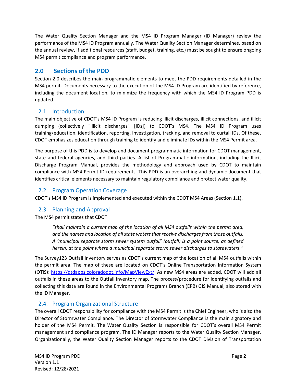The Water Quality Section Manager and the MS4 ID Program Manager (ID Manager) review the performance of the MS4 ID Program annually. The Water Quality Section Manager determines, based on the annual review, if additional resources (staff, budget, training, etc.) must be sought to ensure ongoing MS4 permit compliance and program performance.

# <span id="page-3-0"></span>**2.0 Sections of the PDD**

Section 2.0 describes the main programmatic elements to meet the PDD requirements detailed in the MS4 permit. Documents necessary to the execution of the MS4 ID Program are identified by reference, including the document location, to minimize the frequency with which the MS4 ID Program PDD is updated.

# <span id="page-3-1"></span>2.1. Introduction

The main objective of CDOT's MS4 ID Program is reducing illicit discharges, illicit connections, and illicit dumping (collectively "illicit discharges" [IDs]) to CDOT's MS4. The MS4 ID Program uses training/education, identification, reporting, investigation, tracking, and removal to curtail IDs. Of these, CDOT emphasizes education through training to identify and eliminate IDs within the MS4 Permit area.

The purpose of this PDD is to develop and document programmatic information for CDOT management, state and federal agencies, and third parties. A list of Programmatic information, including the Illicit Discharge Program Manual, provides the methodology and approach used by CDOT to maintain compliance with MS4 Permit ID requirements. This PDD is an overarching and dynamic document that identifies critical elements necessary to maintain regulatory compliance and protect water quality.

# <span id="page-3-2"></span>2.2. Program Operation Coverage

<span id="page-3-3"></span>CDOT's MS4 ID Program is implemented and executed within the CDOT MS4 Areas (Section [1.1\)](#page-2-1).

# 2.3. Planning and Approval

The MS4 permit states that CDOT:

*"shall maintain a current map of the location of all MS4 outfalls within the permit area, and the names and location of all state watersthat receive discharges from those outfalls. A 'municipal separate storm sewer system outfall' (outfall) is a point source, as defined herein, at the point where a municipal separate storm sewer discharges to statewaters."*

The Survey123 Outfall Inventory serves as CDOT's current map of the location of all MS4 outfalls within the permit area. The map of these are located on CDOT's Online Transportation Information System (OTIS): [https://dtdapps.coloradodot.info/MapViewExt/.](https://dtdapps.coloradodot.info/MapViewExt/) As new MS4 areas are added, CDOT will add all outfalls in these areas to the Outfall inventory map. The process/procedure for identifying outfalls and collecting this data are found in the Environmental Programs Branch (EPB) GIS Manual, also stored with the ID Manager.

#### <span id="page-3-4"></span>2.4. Program Organizational Structure

The overall CDOT responsibility for compliance with the MS4 Permit is the Chief Engineer, who is also the Director of Stormwater Compliance. The Director of Stormwater Compliance is the main signatory and holder of the MS4 Permit. The Water Quality Section is responsible for CDOT's overall MS4 Permit management and compliance program. The ID Manager reports to the Water Quality Section Manager. Organizationally, the Water Quality Section Manager reports to the CDOT Division of Transportation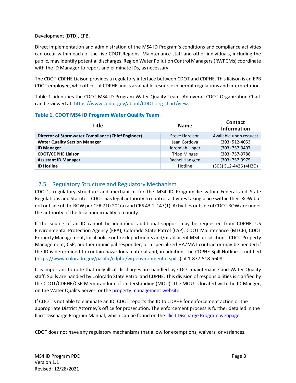Development (DTD), EPB.

Direct implementation and administration of the MS4 ID Program's conditions and compliance activities can occur within each of the five CDOT Regions. Maintenance staff and other individuals, including the public, may identify potential discharges. Region Water Pollution Control Managers (RWPCMs) coordinate with the ID Manager to report and eliminate IDs, as necessary.

The CDOT-CDPHE Liaison provides a regulatory interface between CDOT and CDPHE. This liaison is an EPB CDOT employee, who offices at CDPHE and is a valuable resource in permit regulations and interpretation.

[Table 1.](#page-4-0) identifies the CDOT MS4 ID Program Water Quality Team. An overall CDOT Organization Chart can be viewed at: [https://www.codot.gov/about/CDOT-org-chart/view.](https://www.codot.gov/about/CDOT-org-chart/view)

| Title                                                     | <b>Name</b>         | <b>Contact</b><br><b>Information</b> |
|-----------------------------------------------------------|---------------------|--------------------------------------|
| <b>Director of Stormwater Compliance (Chief Engineer)</b> | Steve Harelson      | Available upon request               |
| <b>Water Quality Section Manager</b>                      | Jean Cordova        | (303) 512-4053                       |
| <b>ID Manager</b>                                         | Jeremiah Unger      | (303) 757-9497                       |
| <b>CDOT/CDPHE Liaison</b>                                 | <b>Tripp Minges</b> | (303) 757-9788                       |
| <b>Assistant ID Manager</b>                               | Rachel Hansgen      | (303) 757-9975                       |
| <b>ID Hotline</b>                                         | Hotline             | (303) 512-4426 (4H2O)                |

#### <span id="page-4-0"></span>**Table 1. CDOT MS4 ID Program Water Quality Team**

# <span id="page-4-1"></span>2.5. Regulatory Structure and Regulatory Mechanism

CDOT's regulatory structure and mechanism for the MS4 ID Program lie within Federal and State Regulations and Statutes. CDOT has legal authority to control activities taking place within their ROW but not outside ofthe ROW per CFR 710.201(a) and CRS 43-2-147(1). Activities outside of CDOT ROW are under the authority of the local municipality or county.

If the source of an ID cannot be identified, additional support may be requested from CDPHE, US Environmental Protection Agency (EPA), Colorado State Patrol (CSP), CDOT Maintenance (MTCE), CDOT Property Management, local police or fire departments and/or adjacent MS4 jurisdictions. CDOT Property Management, CSP, another municipal responder, or a specialized HAZMAT contractor may be needed if the ID is determined to contain hazardous material and, in addition, the CDPHE Spill Hotline is notified [\(https://www.colorado.gov/pacific/cdphe/wq-environmental-spills\)](https://www.colorado.gov/pacific/cdphe/wq-environmental-spills) at 1-877-518-5608.

It is important to note that only illicit discharges are handled by CDOT maintenance and Water Quality staff. Spills are handled by Colorado State Patrol and CDPHE. This division of responsibilities is clarified by the CDOT/CDPHE/CSP Memorandum of Understanding (MOU). The MOU is located with the ID Manger, on the Water Quality Server, or the [property management website.](https://codot.gov/business/propertymanagement/hazardous-materials.html)

If CDOT is not able to eliminate an ID, CDOT reports the ID to CDPHE for enforcement action or the appropriate District Attorney's office for prosecution. The enforcement process is further detailed in the Illicit Discharge Program Manual, which can be found on the [Illicit Discharge Program webpage.](https://www.codot.gov/programs/environmental/water-quality/stormwater-programs/idde.html)

CDOT does not have any regulatory mechanisms that allow for exemptions, waivers, or variances.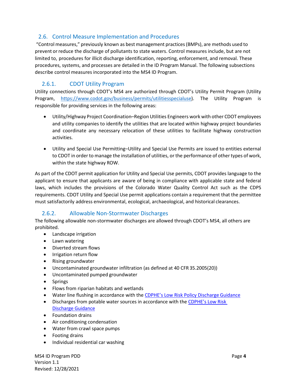# <span id="page-5-0"></span>2.6. Control Measure Implementation and Procedures

"Control measures," previously known as best management practices(BMPs), are methods used to prevent or reduce the discharge of pollutants to state waters. Control measures include, but are not limited to, procedures for illicit discharge identification, reporting, enforcement, and removal. These procedures, systems, and processes are detailed in the ID Program Manual. The following subsections describe control measures incorporated into the MS4 ID Program.

# <span id="page-5-1"></span>2.6.1. CDOT Utility Program

Utility connections through CDOT's MS4 are authorized through CDOT's Utility Permit Program (Utility Program, [https://www.codot.gov/business/permits/utilitiesspecialuse\)](https://www.codot.gov/business/permits/utilitiesspecialuse). The Utility Program is responsible for providing services in the following areas:

- Utility/Highway Project Coordination–Region Utilities Engineers work with other CDOT employees and utility companies to identify the utilities that are located within highway project boundaries and coordinate any necessary relocation of these utilities to facilitate highway construction activities.
- Utility and Special Use Permitting–Utility and Special Use Permits are issued to entities external to CDOT in order to manage the installation of utilities, or the performance of other types of work, within the state highway ROW.

As part of the CDOT permit application for Utility and Special Use permits, CDOT provides language to the applicant to ensure that applicants are aware of being in compliance with applicable state and federal laws, which includes the provisions of the Colorado Water Quality Control Act such as the CDPS requirements. CDOT Utility and Special Use permit applications contain a requirement that the permittee must satisfactorily address environmental, ecological, archaeological, and historical clearances.

# <span id="page-5-2"></span>2.6.2. Allowable Non-Stormwater Discharges

The following allowable non-stormwater discharges are allowed through CDOT's MS4, all others are prohibited.

- Landscape irrigation
- Lawn watering
- Diverted stream flows
- Irrigation return flow
- Rising groundwater
- Uncontaminated groundwater infiltration (as defined at 40 CFR 35.2005(20))
- Uncontaminated pumped groundwater
- Springs
- Flows from riparian habitats and wetlands
- Water line flushing in accordance with th[e CDPHE's Low Risk Policy Discharge](https://www.colorado.gov/pacific/sites/default/files/WQ%20LOW%20RISK%20GW.pdf) Guidance
- Discharges from potable water sources in accordance with the CDPHE's Low Risk [Discharge Guidance](https://www.colorado.gov/pacific/sites/default/files/WQ%20LOW%20RISK%20GW.pdf)
- Foundation drains
- Air conditioning condensation
- Water from crawl space pumps
- Footing drains
- Individual residential car washing

MS4 ID Program PDD Version 1.1 Revised: 12/28/2021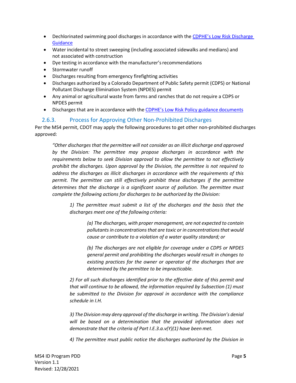- Dechlorinated swimming pool discharges in accordance with the CDPHE's Low Risk Discharge **[Guidance](https://www.colorado.gov/pacific/sites/default/files/WQ%20LOW%20RISK%20GW.pdf)**
- Water incidental to street sweeping (including associated sidewalks and medians) and not associated with construction
- Dye testing in accordance with the manufacturer's recommendations
- Stormwater runoff
- Discharges resulting from emergency firefighting activities
- Discharges authorized by a Colorado Department of Public Safety permit (CDPS) or National Pollutant Discharge Elimination System (NPDES) permit
- Any animal or agricultural waste from farms and ranches that do not require a CDPS or NPDES permit
- Discharges that are in accordance with the [CDPHE's Low Risk Policy guidance](https://www.colorado.gov/pacific/sites/default/files/WQ%20LOW%20RISK%20GW.pdf) documents

#### <span id="page-6-0"></span>2.6.3. Process for Approving Other Non-Prohibited Discharges

Per the MS4 permit, CDOT may apply the following procedures to get other non-prohibited discharges approved:

*"Other discharges that the permittee will not consider as an illicit discharge and approved by the Division: The permittee may propose discharges in accordance with the requirements below to seek Division approval to allow the permittee to not effectively prohibit the discharges. Upon approval by the Division, the permittee is not required to address the discharges as illicit discharges in accordance with the requirements of this permit. The permittee can still effectively prohibit these discharges if the permittee determines that the discharge is a significant source of pollution. The permittee must complete the following actions for discharges to be authorized by the Division:* 

*1) The permittee must submit a list of the discharges and the basis that the discharges meet one of the following criteria:*

> *(a) The discharges, with proper management, are not expected to contain pollutantsin concentrationsthat are toxic or in concentrationsthat would cause or contribute to a violation of a water quality standard; or*

> *(b) The discharges are not eligible for coverage under a CDPS or NPDES general permit and prohibiting the discharges would result in changes to existing practices for the owner or operator of the discharges that are determined by the permittee to be impracticable.*

*2) For all such discharges identified prior to the effective date of this permit and that will continue to be allowed, the information required by Subsection (1) must be submitted to the Division for approval in accordance with the compliance schedule in I.H.*

*3) The Division may deny approval of the discharge in writing. The Division's denial will be based on a determination that the provided information does not demonstrate that the criteria of Part I.E.3.a.v(Y)(1) have been met.*

*4) The permittee must public notice the discharges authorized by the Division in*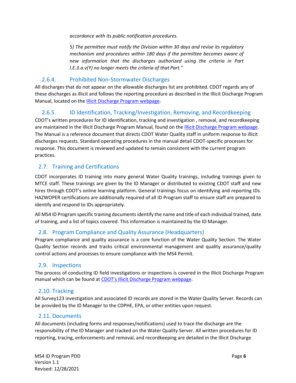*accordance with its public notification procedures.*

*5) The permittee must notify the Division within 30 days and revise its regulatory mechanism and procedures within 180 days if the permittee becomes aware of new information that the discharges authorized using the criteria in Part I.E.3.a.v(Y) no longer meets the criteria of that Part."*

#### <span id="page-7-0"></span>2.6.4. Prohibited Non-Stormwater Discharges

All discharges that do not appear on the allowable discharges list are prohibited. CDOT regards any of these discharges as illicit and follows the reporting procedure as described in the Illicit Discharge Program Manual, located on th[e Illicit Discharge Program webpage.](https://www.codot.gov/programs/environmental/water-quality/stormwater-programs/idde.html)

# <span id="page-7-1"></span>2.6.5. ID Identification, Tracking/Investigation, Removing, and Recordkeeping

CDOT's written procedures for ID identification, tracking and investigation , removal, and recordkeeping are maintained in the Illicit Discharge Program Manual, found on th[e Illicit Discharge Program webpage.](https://www.codot.gov/programs/environmental/water-quality/stormwater-programs/idde.html) The Manual is a reference document that directs CDOT Water Quality staff in uniform response to illicit discharges requests. Standard operating procedures in the manual detail CDOT-specific processes for response. This document is reviewed and updated to remain consistent with the current program practices.

# <span id="page-7-2"></span>2.7. Training and Certifications

CDOT incorporates ID training into many general Water Quality trainings, including trainings given to MTCE staff. These trainings are given by the ID Manager or distributed to existing CDOT staff and new hires through CDOT's online learning platform. General trainings focus on identifying and reporting IDs. HAZWOPER certifications are additionally required of all ID Program staff to ensure staff are prepared to identify and respond to IDs appropriately.

All MS4 ID Program specific training documents identify the name and title of each individual trained, date of training, and a list of topics covered. This information is maintained by the ID Manager.

#### <span id="page-7-3"></span>2.8. Program Compliance and Quality Assurance (Headquarters)

Program compliance and quality assurance is a core function of the Water Quality Section. The Water Quality Section records and tracks critical environmental management and quality assurance/quality control actions and processes to ensure compliance with the MS4 Permit.

#### <span id="page-7-4"></span>2.9. Inspections

The process of conducting ID field investigations or inspections is covered in the Illicit Discharge Program manual which can be found a[t CDOT's Illicit Discharge Program webpage.](https://www.codot.gov/programs/environmental/water-quality/stormwater-programs/idde.html)

# <span id="page-7-5"></span>2.10. Tracking

All Survey123 investigation and associated ID records are stored in the Water Quality Server. Records can be provided by the ID Manager to the CDPHE, EPA, or other entities upon request.

#### <span id="page-7-6"></span>2.11. Documents

All documents (including forms and responses/notifications) used to trace the discharge are the responsibility of the ID Manager and tracked on the Water Quality Server. All written procedures for ID reporting, tracing, enforcements and removal, and recordkeeping are detailed in the Illicit Discharge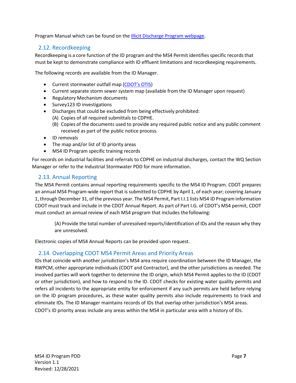<span id="page-8-0"></span>Program Manual which can be found on the **Illicit Discharge Program webpage**.

# 2.12. Recordkeeping

Recordkeeping is a core function of the ID program and the MS4 Permit identifies specific records that must be kept to demonstrate compliance with ID effluent limitations and recordkeeping requirements.

The following records are available from the ID Manager.

- Current stormwater outfall map [\(CDOT's OTIS\)](https://dtdapps.coloradodot.info/MapViewExt/)
- Current separate storm sewer system map (available from the ID Manager upon request)
- Regulatory Mechanism documents
- Survey123 ID investigations
- Discharges that could be excluded from being effectively prohibited:
	- (A) Copies of all required submittals to CDPHE.
	- (B) Copies of the documents used to provide any required public notice and any public comment received as part of the public notice process.
- ID removals
- The map and/or list of ID priority areas
- MS4 ID Program specific training records

For records on industrial facilities and referrals to CDPHE on industrial discharges, contact the WQ Section Manager or refer to the Industrial Stormwater PDD for more information.

#### <span id="page-8-1"></span>2.13. Annual Reporting

The MS4 Permit contains annual reporting requirements specific to the MS4 ID Program. CDOT prepares an annual MS4 Program-wide report that is submitted to CDPHE by April 1, of each year; covering January 1, through December 31, ofthe previous year. The MS4 Permit, Part I.I.1 lists MS4 ID Program information CDOT must track and include in the CDOT Annual Report. As part of Part I.G. of CDOT's MS4 permit, CDOT must conduct an annual review of each MS4 program that includes the following:

(A) Provide the total number of unresolved reports/identification of IDs and the reason why they are unresolved.

<span id="page-8-2"></span>Electronic copies of MS4 Annual Reports can be provided upon request.

#### 2.14. Overlapping CDOT MS4 Permit Areas and Priority Areas

IDs that coincide with another jurisdiction's MS4 area require coordination between the ID Manager, the RWPCM, other appropriate individuals (CDOT and Contractor), and the other jurisdictions as needed. The involved parties will work together to determine the ID origin, which MS4 Permit applies to the ID (CDOT or other jurisdiction), and how to respond to the ID. CDOT checks for existing water quality permits and refers all incidents to the appropriate entity for enforcement if any such permits are held before relying on the ID program procedures, as these water quality permits also include requirements to track and eliminate IDs. The ID Manager maintains records of IDs that overlap other jurisdiction's MS4 areas. CDOT's ID priority areas include any areas within the MS4 in particular area with a history of IDs.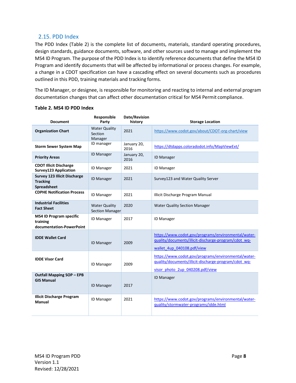#### <span id="page-9-0"></span>2.15. PDD Index

The PDD Index [\(Table 2\)](#page-9-1) is the complete list of documents, materials, standard operating procedures, design standards, guidance documents, software, and other sources used to manage and implement the MS4 ID Program. The purpose of the PDD Index is to identify reference documents that define the MS4 ID Program and identify documents that will be affected by informational or process changes. For example, a change in a CDOT specification can have a cascading effect on several documents such as procedures outlined in this PDD, training materials and tracking forms.

The ID Manager, or designee, is responsible for monitoring and reacting to internal and external program documentation changes that can affect other documentation critical for MS4 Permit compliance.

| <b>Document</b>                                                              | Responsible<br>Party                           | Date/Revision<br>history | <b>Storage Location</b>                                                                                                                        |
|------------------------------------------------------------------------------|------------------------------------------------|--------------------------|------------------------------------------------------------------------------------------------------------------------------------------------|
| <b>Organization Chart</b>                                                    | <b>Water Quality</b><br>Section<br>Manager     | 2021                     | https://www.codot.gov/about/CDOT-org-chart/view                                                                                                |
| <b>Storm Sewer System Map</b>                                                | ID manager                                     | January 20,<br>2016      | https://dtdapps.coloradodot.info/MapViewExt/                                                                                                   |
| <b>Priority Areas</b>                                                        | <b>ID Manager</b>                              | January 20,<br>2016      | <b>ID Manager</b>                                                                                                                              |
| <b>CDOT Illicit Discharge</b><br>Survey123 Application                       | <b>ID Manager</b>                              | 2021                     | <b>ID Manager</b>                                                                                                                              |
| <b>Survey 123 Illicit Discharge</b><br><b>Tracking</b><br><b>Spreadsheet</b> | <b>ID Manager</b>                              | 2021                     | Survey123 and Water Quality Server                                                                                                             |
| <b>CDPHE Notification Process</b>                                            | <b>ID Manager</b>                              | 2021                     | Illicit Discharge Program Manual                                                                                                               |
| <b>Industrial Facilities</b><br><b>Fact Sheet</b>                            | <b>Water Quality</b><br><b>Section Manager</b> | 2020                     | <b>Water Quality Section Manager</b>                                                                                                           |
| <b>MS4 ID Program specific</b><br>training<br>documentation-PowerPoint       | <b>ID Manager</b>                              | 2017                     | <b>ID Manager</b>                                                                                                                              |
| <b>IDDE Wallet Card</b>                                                      | <b>ID Manager</b>                              | 2009                     | https://www.codot.gov/programs/environmental/water-<br>guality/documents/illicit-discharge-program/cdot wq-<br>wallet 4up 040108.pdf/view      |
| <b>IDDE Visor Card</b>                                                       | <b>ID Manager</b>                              | 2009                     | https://www.codot.gov/programs/environmental/water-<br>quality/documents/illicit-discharge-program/cdot wq-<br>visor photo 2up 040208.pdf/view |
| <b>Outfall Mapping SOP - EPB</b><br><b>GIS Manual</b>                        | <b>ID Manager</b>                              | 2017                     | <b>ID Manager</b>                                                                                                                              |
| <b>Illicit Discharge Program</b><br>Manual                                   | <b>ID Manager</b>                              | 2021                     | https://www.codot.gov/programs/environmental/water-<br>quality/stormwater-programs/idde.html                                                   |

#### <span id="page-9-1"></span>**Table 2. MS4 ID PDD Index**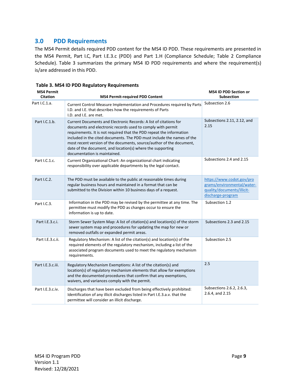# <span id="page-10-0"></span>**3.0 PDD Requirements**

The MS4 Permit details required PDD content for the MS4 ID PDD. These requirements are presented in the MS4 Permit, Part I.C, Part I.E.3.c (PDD) and Part 1.H (Compliance Schedule; Table 2 Compliance Schedule). [Table](#page-11-0) [3 s](#page-11-0)ummarizes the primary MS4 ID PDD requirements and where the requirement(s) is/are addressed in this PDD.

| <b>MS4 Permit</b><br><b>Citation</b> | <b>MS4 Permit-required PDD Content</b>                                                                                                                                                                                                                                                                                                                                                                                                                   | <b>MS4 ID PDD Section or</b><br><b>Subsection</b>                                                          |
|--------------------------------------|----------------------------------------------------------------------------------------------------------------------------------------------------------------------------------------------------------------------------------------------------------------------------------------------------------------------------------------------------------------------------------------------------------------------------------------------------------|------------------------------------------------------------------------------------------------------------|
| Part I.C.1.a.                        | Current Control Measure Implementation and Procedures required by Parts<br>I.D. and I.E. that describes how the requirements of Parts<br>I.D. and I.E. are met.                                                                                                                                                                                                                                                                                          | Subsection 2.6                                                                                             |
| Part I.C.1.b.                        | Current Documents and Electronic Records: A list of citations for<br>documents and electronic records used to comply with permit<br>requirements. It is not required that the PDD repeat the information<br>included in the cited documents. The PDD must include the names of the<br>most recent version of the documents, source/author of the document,<br>date of the document, and location(s) where the supporting<br>documentation is maintained. | Subsections 2.11, 2.12, and<br>2.15                                                                        |
| Part I.C.1.c.                        | Current Organizational Chart: An organizational chart indicating<br>responsibility over applicable departments by the legal contact.                                                                                                                                                                                                                                                                                                                     | Subsections 2.4 and 2.15                                                                                   |
| Part I.C.2.                          | The PDD must be available to the public at reasonable times during<br>regular business hours and maintained in a format that can be<br>submitted to the Division within 10 business days of a request.                                                                                                                                                                                                                                                   | https://www.codot.gov/pro<br>grams/environmental/water-<br>guality/documents/illicit-<br>discharge-program |
| Part I.C.3.                          | Information in the PDD may be revised by the permittee at any time. The<br>permittee must modify the PDD as changes occur to ensure the<br>information is up to date.                                                                                                                                                                                                                                                                                    | Subsection 1.2                                                                                             |
| Part I.E.3.c.i.                      | Storm Sewer System Map: A list of citation(s) and location(s) of the storm<br>sewer system map and procedures for updating the map for new or<br>removed outfalls or expanded permit areas.                                                                                                                                                                                                                                                              | Subsections 2.3 and 2.15                                                                                   |
| Part I.E.3.c.ii.                     | Regulatory Mechanism: A list of the citation(s) and location(s) of the<br>required elements of the regulatory mechanism, including a list of the<br>associated program documents used to meet the regulatory mechanism<br>requirements.                                                                                                                                                                                                                  | Subsection 2.5                                                                                             |
| Part I.E.3.c.iii.                    | Regulatory Mechanism Exemptions: A list of the citation(s) and<br>location(s) of regulatory mechanism elements that allow for exemptions<br>and the documented procedures that confirm that any exemptions,<br>waivers, and variances comply with the permit.                                                                                                                                                                                            | 2.5                                                                                                        |
| Part I.E.3.c.iv.                     | Discharges that have been excluded from being effectively prohibited:<br>Identification of any illicit discharges listed in Part I.E.3.a.v. that the<br>permittee will consider an illicit discharge.                                                                                                                                                                                                                                                    | Subsections 2.6.2, 2.6.3,<br>2.6.4, and 2.15                                                               |

**Table 3. MS4 ID PDD Regulatory Requirements**